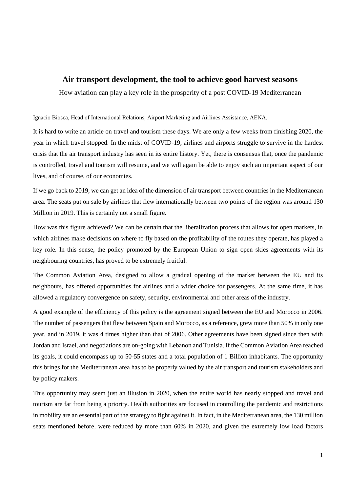## **Air transport development, the tool to achieve good harvest seasons**

How aviation can play a key role in the prosperity of a post COVID-19 Mediterranean

Ignacio Biosca, Head of International Relations, Airport Marketing and Airlines Assistance, AENA.

It is hard to write an article on travel and tourism these days. We are only a few weeks from finishing 2020, the year in which travel stopped. In the midst of COVID-19, airlines and airports struggle to survive in the hardest crisis that the air transport industry has seen in its entire history. Yet, there is consensus that, once the pandemic is controlled, travel and tourism will resume, and we will again be able to enjoy such an important aspect of our lives, and of course, of our economies.

If we go back to 2019, we can get an idea of the dimension of air transport between countries in the Mediterranean area. The seats put on sale by airlines that flew internationally between two points of the region was around 130 Million in 2019. This is certainly not a small figure.

How was this figure achieved? We can be certain that the liberalization process that allows for open markets, in which airlines make decisions on where to fly based on the profitability of the routes they operate, has played a key role. In this sense, the policy promoted by the European Union to sign open skies agreements with its neighbouring countries, has proved to be extremely fruitful.

The Common Aviation Area, designed to allow a gradual opening of the market between the EU and its neighbours, has offered opportunities for airlines and a wider choice for passengers. At the same time, it has allowed a regulatory convergence on safety, security, environmental and other areas of the industry.

A good example of the efficiency of this policy is the agreement signed between the EU and Morocco in 2006. The number of passengers that flew between Spain and Morocco, as a reference, grew more than 50% in only one year, and in 2019, it was 4 times higher than that of 2006. Other agreements have been signed since then with Jordan and Israel, and negotiations are on-going with Lebanon and Tunisia. If the Common Aviation Area reached its goals, it could encompass up to 50-55 states and a total population of 1 Billion inhabitants. The opportunity this brings for the Mediterranean area has to be properly valued by the air transport and tourism stakeholders and by policy makers.

This opportunity may seem just an illusion in 2020, when the entire world has nearly stopped and travel and tourism are far from being a priority. Health authorities are focused in controlling the pandemic and restrictions in mobility are an essential part of the strategy to fight against it. In fact, in the Mediterranean area, the 130 million seats mentioned before, were reduced by more than 60% in 2020, and given the extremely low load factors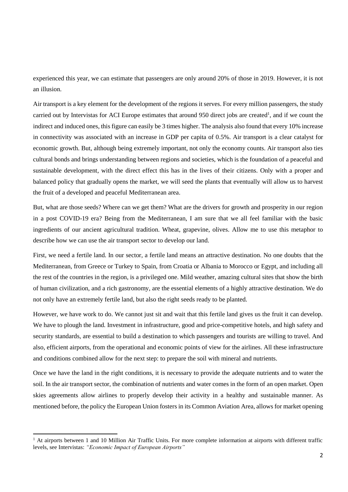experienced this year, we can estimate that passengers are only around 20% of those in 2019. However, it is not an illusion.

Air transport is a key element for the development of the regions it serves. For every million passengers, the study carried out by Intervistas for ACI Europe estimates that around 950 direct jobs are created<sup>1</sup>, and if we count the indirect and induced ones, this figure can easily be 3 times higher. The analysis also found that every 10% increase in connectivity was associated with an increase in GDP per capita of 0.5%. Air transport is a clear catalyst for economic growth. But, although being extremely important, not only the economy counts. Air transport also ties cultural bonds and brings understanding between regions and societies, which is the foundation of a peaceful and sustainable development, with the direct effect this has in the lives of their citizens. Only with a proper and balanced policy that gradually opens the market, we will seed the plants that eventually will allow us to harvest the fruit of a developed and peaceful Mediterranean area.

But, what are those seeds? Where can we get them? What are the drivers for growth and prosperity in our region in a post COVID-19 era? Being from the Mediterranean, I am sure that we all feel familiar with the basic ingredients of our ancient agricultural tradition. Wheat, grapevine, olives. Allow me to use this metaphor to describe how we can use the air transport sector to develop our land.

First, we need a fertile land. In our sector, a fertile land means an attractive destination. No one doubts that the Mediterranean, from Greece or Turkey to Spain, from Croatia or Albania to Morocco or Egypt, and including all the rest of the countries in the region, is a privileged one. Mild weather, amazing cultural sites that show the birth of human civilization, and a rich gastronomy, are the essential elements of a highly attractive destination. We do not only have an extremely fertile land, but also the right seeds ready to be planted.

However, we have work to do. We cannot just sit and wait that this fertile land gives us the fruit it can develop. We have to plough the land. Investment in infrastructure, good and price-competitive hotels, and high safety and security standards, are essential to build a destination to which passengers and tourists are willing to travel. And also, efficient airports, from the operational and economic points of view for the airlines. All these infrastructure and conditions combined allow for the next step: to prepare the soil with mineral and nutrients.

Once we have the land in the right conditions, it is necessary to provide the adequate nutrients and to water the soil. In the air transport sector, the combination of nutrients and water comes in the form of an open market. Open skies agreements allow airlines to properly develop their activity in a healthy and sustainable manner. As mentioned before, the policy the European Union fosters in its Common Aviation Area, allows for market opening

**.** 

<sup>&</sup>lt;sup>1</sup> At airports between 1 and 10 Million Air Traffic Units. For more complete information at airports with different traffic levels, see Intervistas: *"Economic Impact of European Airports"*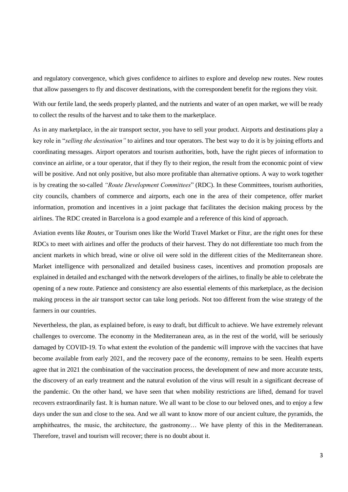and regulatory convergence, which gives confidence to airlines to explore and develop new routes. New routes that allow passengers to fly and discover destinations, with the correspondent benefit for the regions they visit.

With our fertile land, the seeds properly planted, and the nutrients and water of an open market, we will be ready to collect the results of the harvest and to take them to the marketplace.

As in any marketplace, in the air transport sector, you have to sell your product. Airports and destinations play a key role in "*selling the destination"* to airlines and tour operators. The best way to do it is by joining efforts and coordinating messages. Airport operators and tourism authorities, both, have the right pieces of information to convince an airline, or a tour operator, that if they fly to their region, the result from the economic point of view will be positive. And not only positive, but also more profitable than alternative options. A way to work together is by creating the so-called *"Route Development Committees*" (RDC). In these Committees, tourism authorities, city councils, chambers of commerce and airports, each one in the area of their competence, offer market information, promotion and incentives in a joint package that facilitates the decision making process by the airlines. The RDC created in Barcelona is a good example and a reference of this kind of approach.

Aviation events like *Routes*, or Tourism ones like the World Travel Market or Fitur, are the right ones for these RDCs to meet with airlines and offer the products of their harvest. They do not differentiate too much from the ancient markets in which bread, wine or olive oil were sold in the different cities of the Mediterranean shore. Market intelligence with personalized and detailed business cases, incentives and promotion proposals are explained in detailed and exchanged with the network developers of the airlines, to finally be able to celebrate the opening of a new route. Patience and consistency are also essential elements of this marketplace, as the decision making process in the air transport sector can take long periods. Not too different from the wise strategy of the farmers in our countries.

Nevertheless, the plan, as explained before, is easy to draft, but difficult to achieve. We have extremely relevant challenges to overcome. The economy in the Mediterranean area, as in the rest of the world, will be seriously damaged by COVID-19. To what extent the evolution of the pandemic will improve with the vaccines that have become available from early 2021, and the recovery pace of the economy, remains to be seen. Health experts agree that in 2021 the combination of the vaccination process, the development of new and more accurate tests, the discovery of an early treatment and the natural evolution of the virus will result in a significant decrease of the pandemic. On the other hand, we have seen that when mobility restrictions are lifted, demand for travel recovers extraordinarily fast. It is human nature. We all want to be close to our beloved ones, and to enjoy a few days under the sun and close to the sea. And we all want to know more of our ancient culture, the pyramids, the amphitheatres, the music, the architecture, the gastronomy… We have plenty of this in the Mediterranean. Therefore, travel and tourism will recover; there is no doubt about it.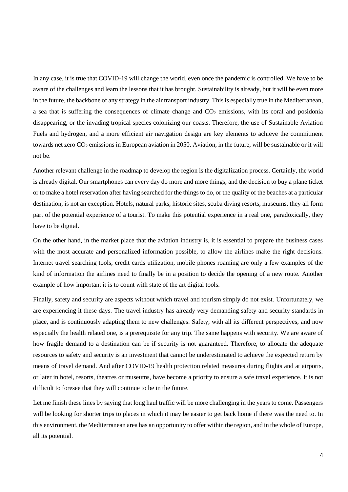In any case, it is true that COVID-19 will change the world, even once the pandemic is controlled. We have to be aware of the challenges and learn the lessons that it has brought. Sustainability is already, but it will be even more in the future, the backbone of any strategy in the air transport industry. This is especially true in the Mediterranean, a sea that is suffering the consequences of climate change and  $CO<sub>2</sub>$  emissions, with its coral and posidonia disappearing, or the invading tropical species colonizing our coasts. Therefore, the use of Sustainable Aviation Fuels and hydrogen, and a more efficient air navigation design are key elements to achieve the commitment towards net zero  $CO_2$  emissions in European aviation in 2050. Aviation, in the future, will be sustainable or it will not be.

Another relevant challenge in the roadmap to develop the region is the digitalization process. Certainly, the world is already digital. Our smartphones can every day do more and more things, and the decision to buy a plane ticket or to make a hotel reservation after having searched for the things to do, or the quality of the beaches at a particular destination, is not an exception. Hotels, natural parks, historic sites, scuba diving resorts, museums, they all form part of the potential experience of a tourist. To make this potential experience in a real one, paradoxically, they have to be digital.

On the other hand, in the market place that the aviation industry is, it is essential to prepare the business cases with the most accurate and personalized information possible, to allow the airlines make the right decisions. Internet travel searching tools, credit cards utilization, mobile phones roaming are only a few examples of the kind of information the airlines need to finally be in a position to decide the opening of a new route. Another example of how important it is to count with state of the art digital tools.

Finally, safety and security are aspects without which travel and tourism simply do not exist. Unfortunately, we are experiencing it these days. The travel industry has already very demanding safety and security standards in place, and is continuously adapting them to new challenges. Safety, with all its different perspectives, and now especially the health related one, is a prerequisite for any trip. The same happens with security. We are aware of how fragile demand to a destination can be if security is not guaranteed. Therefore, to allocate the adequate resources to safety and security is an investment that cannot be underestimated to achieve the expected return by means of travel demand. And after COVID-19 health protection related measures during flights and at airports, or later in hotel, resorts, theatres or museums, have become a priority to ensure a safe travel experience. It is not difficult to foresee that they will continue to be in the future.

Let me finish these lines by saying that long haul traffic will be more challenging in the years to come. Passengers will be looking for shorter trips to places in which it may be easier to get back home if there was the need to. In this environment, the Mediterranean area has an opportunity to offer within the region, and in the whole of Europe, all its potential.